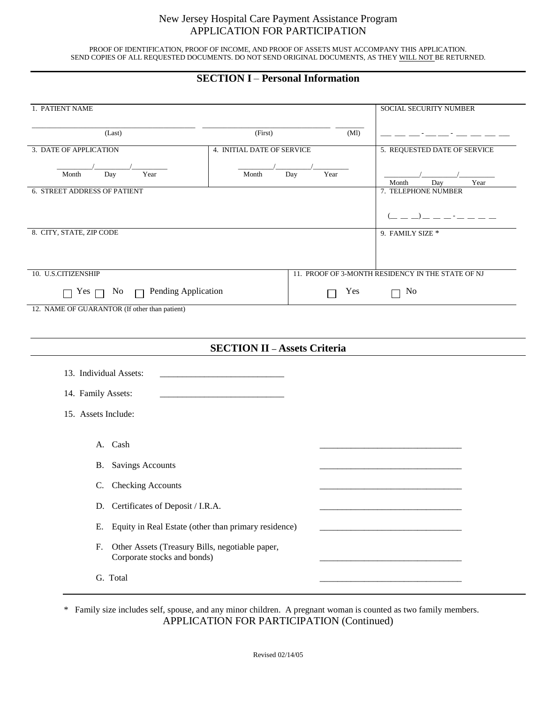## New Jersey Hospital Care Payment Assistance Program APPLICATION FOR PARTICIPATION

PROOF OF IDENTIFICATION, PROOF OF INCOME, AND PROOF OF ASSETS MUST ACCOMPANY THIS APPLICATION. SEND COPIES OF ALL REQUESTED DOCUMENTS. DO NOT SEND ORIGINAL DOCUMENTS, AS THEY WILL NOT BE RETURNED.

## **SECTION I** – **Personal Information**

| 1. PATIENT NAME                                                                      |                                                   |             | SOCIAL SECURITY NUMBER       |  |  |  |
|--------------------------------------------------------------------------------------|---------------------------------------------------|-------------|------------------------------|--|--|--|
| (Last)                                                                               | (First)<br>(Ml)                                   |             |                              |  |  |  |
| 3. DATE OF APPLICATION                                                               | 4. INITIAL DATE OF SERVICE                        |             | 5. REQUESTED DATE OF SERVICE |  |  |  |
| Day<br>Month<br>Year                                                                 | Month                                             | Day<br>Year | Day<br>Year<br>Month         |  |  |  |
| 6. STREET ADDRESS OF PATIENT                                                         | 7. TELEPHONE NUMBER                               |             |                              |  |  |  |
|                                                                                      |                                                   |             |                              |  |  |  |
| 8. CITY, STATE, ZIP CODE                                                             | 9. FAMILY SIZE *                                  |             |                              |  |  |  |
|                                                                                      |                                                   |             |                              |  |  |  |
| 10. U.S.CITIZENSHIP                                                                  | 11. PROOF OF 3-MONTH RESIDENCY IN THE STATE OF NJ |             |                              |  |  |  |
| $\Box$ Pending Application<br>No<br>Yes $\Box$                                       | Yes                                               | No          |                              |  |  |  |
| 12. NAME OF GUARANTOR (If other than patient)                                        |                                                   |             |                              |  |  |  |
|                                                                                      |                                                   |             |                              |  |  |  |
|                                                                                      | <b>SECTION II - Assets Criteria</b>               |             |                              |  |  |  |
| 13. Individual Assets:                                                               |                                                   |             |                              |  |  |  |
| 14. Family Assets:                                                                   |                                                   |             |                              |  |  |  |
| 15. Assets Include:                                                                  |                                                   |             |                              |  |  |  |
|                                                                                      |                                                   |             |                              |  |  |  |
| A. Cash                                                                              |                                                   |             |                              |  |  |  |
| <b>Savings Accounts</b><br><b>B.</b>                                                 |                                                   |             |                              |  |  |  |
| C. Checking Accounts                                                                 |                                                   |             |                              |  |  |  |
| D. Certificates of Deposit / I.R.A.                                                  |                                                   |             |                              |  |  |  |
| Equity in Real Estate (other than primary residence)<br>Е.                           |                                                   |             |                              |  |  |  |
| Other Assets (Treasury Bills, negotiable paper,<br>F.<br>Corporate stocks and bonds) |                                                   |             |                              |  |  |  |
| G. Total                                                                             |                                                   |             |                              |  |  |  |

\* Family size includes self, spouse, and any minor children. A pregnant woman is counted as two family members. APPLICATION FOR PARTICIPATION (Continued)